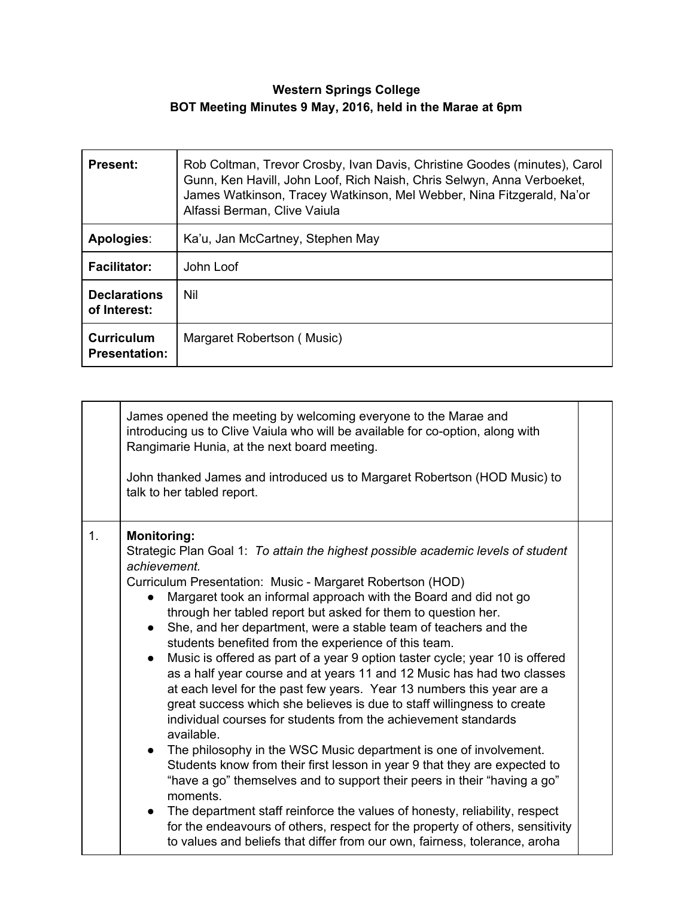## **Western Springs College BOT Meeting Minutes 9 May, 2016, held in the Marae at 6pm**

| <b>Present:</b>                           | Rob Coltman, Trevor Crosby, Ivan Davis, Christine Goodes (minutes), Carol<br>Gunn, Ken Havill, John Loof, Rich Naish, Chris Selwyn, Anna Verboeket,<br>James Watkinson, Tracey Watkinson, Mel Webber, Nina Fitzgerald, Na'or<br>Alfassi Berman, Clive Vaiula |
|-------------------------------------------|--------------------------------------------------------------------------------------------------------------------------------------------------------------------------------------------------------------------------------------------------------------|
| Apologies:                                | Ka'u, Jan McCartney, Stephen May                                                                                                                                                                                                                             |
| <b>Facilitator:</b>                       | John Loof                                                                                                                                                                                                                                                    |
| <b>Declarations</b><br>of Interest:       | Nil                                                                                                                                                                                                                                                          |
| <b>Curriculum</b><br><b>Presentation:</b> | Margaret Robertson (Music)                                                                                                                                                                                                                                   |

|    | James opened the meeting by welcoming everyone to the Marae and<br>introducing us to Clive Vaiula who will be available for co-option, along with<br>Rangimarie Hunia, at the next board meeting.<br>John thanked James and introduced us to Margaret Robertson (HOD Music) to<br>talk to her tabled report.                                                                                                                                                                                                                                                                                                                                                                                                                                                                                                                                                                                                                                                                                                                                                                                                                                                                                                                                                                                                                                         |  |
|----|------------------------------------------------------------------------------------------------------------------------------------------------------------------------------------------------------------------------------------------------------------------------------------------------------------------------------------------------------------------------------------------------------------------------------------------------------------------------------------------------------------------------------------------------------------------------------------------------------------------------------------------------------------------------------------------------------------------------------------------------------------------------------------------------------------------------------------------------------------------------------------------------------------------------------------------------------------------------------------------------------------------------------------------------------------------------------------------------------------------------------------------------------------------------------------------------------------------------------------------------------------------------------------------------------------------------------------------------------|--|
| 1. | <b>Monitoring:</b><br>Strategic Plan Goal 1: To attain the highest possible academic levels of student<br>achievement.<br>Curriculum Presentation: Music - Margaret Robertson (HOD)<br>Margaret took an informal approach with the Board and did not go<br>through her tabled report but asked for them to question her.<br>She, and her department, were a stable team of teachers and the<br>students benefited from the experience of this team.<br>Music is offered as part of a year 9 option taster cycle; year 10 is offered<br>as a half year course and at years 11 and 12 Music has had two classes<br>at each level for the past few years. Year 13 numbers this year are a<br>great success which she believes is due to staff willingness to create<br>individual courses for students from the achievement standards<br>available.<br>The philosophy in the WSC Music department is one of involvement.<br>Students know from their first lesson in year 9 that they are expected to<br>"have a go" themselves and to support their peers in their "having a go"<br>moments.<br>The department staff reinforce the values of honesty, reliability, respect<br>$\bullet$<br>for the endeavours of others, respect for the property of others, sensitivity<br>to values and beliefs that differ from our own, fairness, tolerance, aroha |  |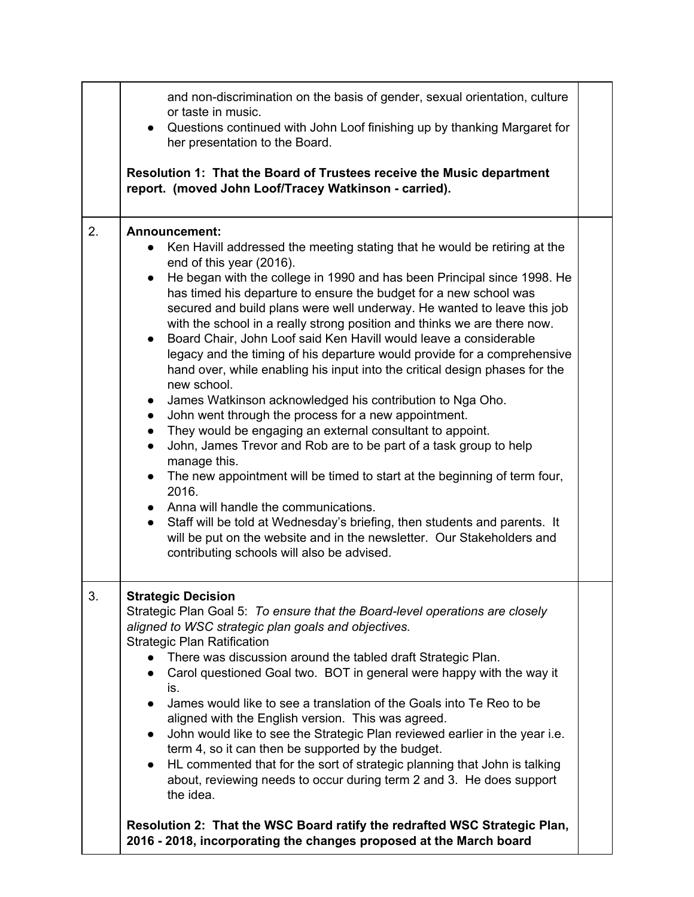|    | • Questions continued with John Loof finishing up by thanking Margaret for<br>her presentation to the Board.<br>Resolution 1: That the Board of Trustees receive the Music department<br>report. (moved John Loof/Tracey Watkinson - carried).                                                                                                                                                                                                                                                                                                                                                                                                                                                                                                                                                                                                                                                                                                                                                                                                                                                                                                                                                                                                                                                                                                                         |  |
|----|------------------------------------------------------------------------------------------------------------------------------------------------------------------------------------------------------------------------------------------------------------------------------------------------------------------------------------------------------------------------------------------------------------------------------------------------------------------------------------------------------------------------------------------------------------------------------------------------------------------------------------------------------------------------------------------------------------------------------------------------------------------------------------------------------------------------------------------------------------------------------------------------------------------------------------------------------------------------------------------------------------------------------------------------------------------------------------------------------------------------------------------------------------------------------------------------------------------------------------------------------------------------------------------------------------------------------------------------------------------------|--|
| 2. | Announcement:<br>Ken Havill addressed the meeting stating that he would be retiring at the<br>end of this year (2016).<br>He began with the college in 1990 and has been Principal since 1998. He<br>has timed his departure to ensure the budget for a new school was<br>secured and build plans were well underway. He wanted to leave this job<br>with the school in a really strong position and thinks we are there now.<br>Board Chair, John Loof said Ken Havill would leave a considerable<br>legacy and the timing of his departure would provide for a comprehensive<br>hand over, while enabling his input into the critical design phases for the<br>new school.<br>James Watkinson acknowledged his contribution to Nga Oho.<br>$\bullet$<br>John went through the process for a new appointment.<br>$\bullet$<br>They would be engaging an external consultant to appoint.<br>$\bullet$<br>John, James Trevor and Rob are to be part of a task group to help<br>$\bullet$<br>manage this.<br>The new appointment will be timed to start at the beginning of term four,<br>$\bullet$<br>2016.<br>• Anna will handle the communications.<br>Staff will be told at Wednesday's briefing, then students and parents. It<br>$\bullet$<br>will be put on the website and in the newsletter. Our Stakeholders and<br>contributing schools will also be advised. |  |
| 3. | <b>Strategic Decision</b><br>Strategic Plan Goal 5: To ensure that the Board-level operations are closely<br>aligned to WSC strategic plan goals and objectives.<br><b>Strategic Plan Ratification</b><br>There was discussion around the tabled draft Strategic Plan.<br>Carol questioned Goal two. BOT in general were happy with the way it<br>is.<br>James would like to see a translation of the Goals into Te Reo to be<br>aligned with the English version. This was agreed.<br>John would like to see the Strategic Plan reviewed earlier in the year i.e.<br>$\bullet$<br>term 4, so it can then be supported by the budget.<br>HL commented that for the sort of strategic planning that John is talking<br>$\bullet$<br>about, reviewing needs to occur during term 2 and 3. He does support<br>the idea.<br>Resolution 2: That the WSC Board ratify the redrafted WSC Strategic Plan,                                                                                                                                                                                                                                                                                                                                                                                                                                                                      |  |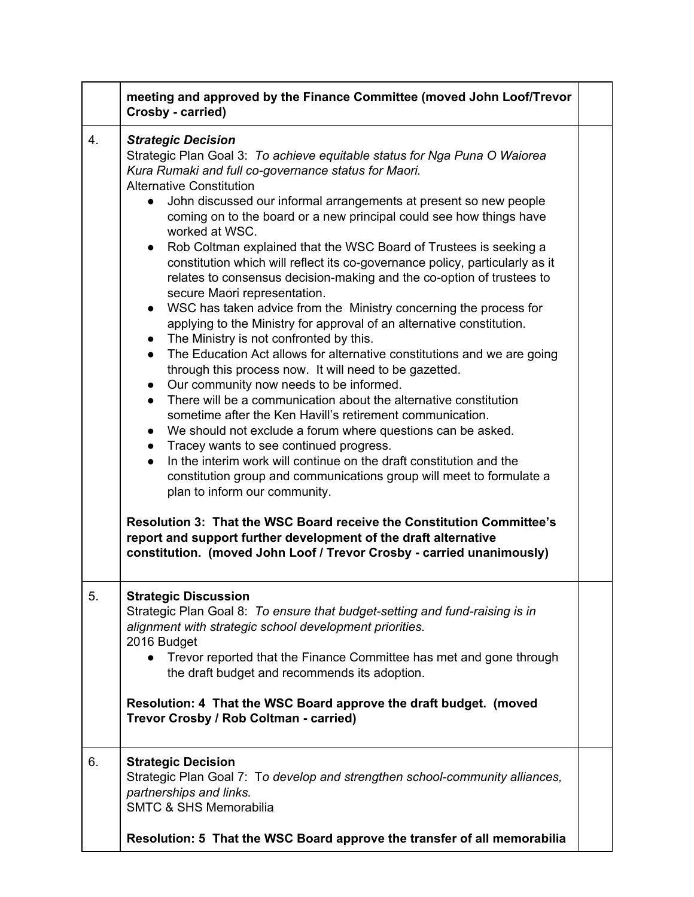|    | meeting and approved by the Finance Committee (moved John Loof/Trevor<br>Crosby - carried)                                                                                                                                                                                                                                                                                                                                                                                                                                                                                                                                                                                                                                                                                                                                                                                                                                                                                                                                                                                                                                                                                                                                                                                                                                                                                                                                                                                                                                                                                                                                                                                                                                                              |  |
|----|---------------------------------------------------------------------------------------------------------------------------------------------------------------------------------------------------------------------------------------------------------------------------------------------------------------------------------------------------------------------------------------------------------------------------------------------------------------------------------------------------------------------------------------------------------------------------------------------------------------------------------------------------------------------------------------------------------------------------------------------------------------------------------------------------------------------------------------------------------------------------------------------------------------------------------------------------------------------------------------------------------------------------------------------------------------------------------------------------------------------------------------------------------------------------------------------------------------------------------------------------------------------------------------------------------------------------------------------------------------------------------------------------------------------------------------------------------------------------------------------------------------------------------------------------------------------------------------------------------------------------------------------------------------------------------------------------------------------------------------------------------|--|
| 4. | <b>Strategic Decision</b><br>Strategic Plan Goal 3: To achieve equitable status for Nga Puna O Waiorea<br>Kura Rumaki and full co-governance status for Maori.<br><b>Alternative Constitution</b><br>John discussed our informal arrangements at present so new people<br>$\bullet$<br>coming on to the board or a new principal could see how things have<br>worked at WSC.<br>• Rob Coltman explained that the WSC Board of Trustees is seeking a<br>constitution which will reflect its co-governance policy, particularly as it<br>relates to consensus decision-making and the co-option of trustees to<br>secure Maori representation.<br>• WSC has taken advice from the Ministry concerning the process for<br>applying to the Ministry for approval of an alternative constitution.<br>The Ministry is not confronted by this.<br>$\bullet$<br>The Education Act allows for alternative constitutions and we are going<br>$\bullet$<br>through this process now. It will need to be gazetted.<br>Our community now needs to be informed.<br>$\bullet$<br>There will be a communication about the alternative constitution<br>$\bullet$<br>sometime after the Ken Havill's retirement communication.<br>• We should not exclude a forum where questions can be asked.<br>Tracey wants to see continued progress.<br>$\bullet$<br>In the interim work will continue on the draft constitution and the<br>$\bullet$<br>constitution group and communications group will meet to formulate a<br>plan to inform our community.<br>Resolution 3: That the WSC Board receive the Constitution Committee's<br>report and support further development of the draft alternative<br>constitution. (moved John Loof / Trevor Crosby - carried unanimously) |  |
| 5. | <b>Strategic Discussion</b><br>Strategic Plan Goal 8: To ensure that budget-setting and fund-raising is in<br>alignment with strategic school development priorities.<br>2016 Budget<br>Trevor reported that the Finance Committee has met and gone through<br>$\bullet$<br>the draft budget and recommends its adoption.<br>Resolution: 4 That the WSC Board approve the draft budget. (moved<br>Trevor Crosby / Rob Coltman - carried)                                                                                                                                                                                                                                                                                                                                                                                                                                                                                                                                                                                                                                                                                                                                                                                                                                                                                                                                                                                                                                                                                                                                                                                                                                                                                                                |  |
| 6. | <b>Strategic Decision</b><br>Strategic Plan Goal 7: To develop and strengthen school-community alliances,<br>partnerships and links.<br><b>SMTC &amp; SHS Memorabilia</b><br>Resolution: 5 That the WSC Board approve the transfer of all memorabilia                                                                                                                                                                                                                                                                                                                                                                                                                                                                                                                                                                                                                                                                                                                                                                                                                                                                                                                                                                                                                                                                                                                                                                                                                                                                                                                                                                                                                                                                                                   |  |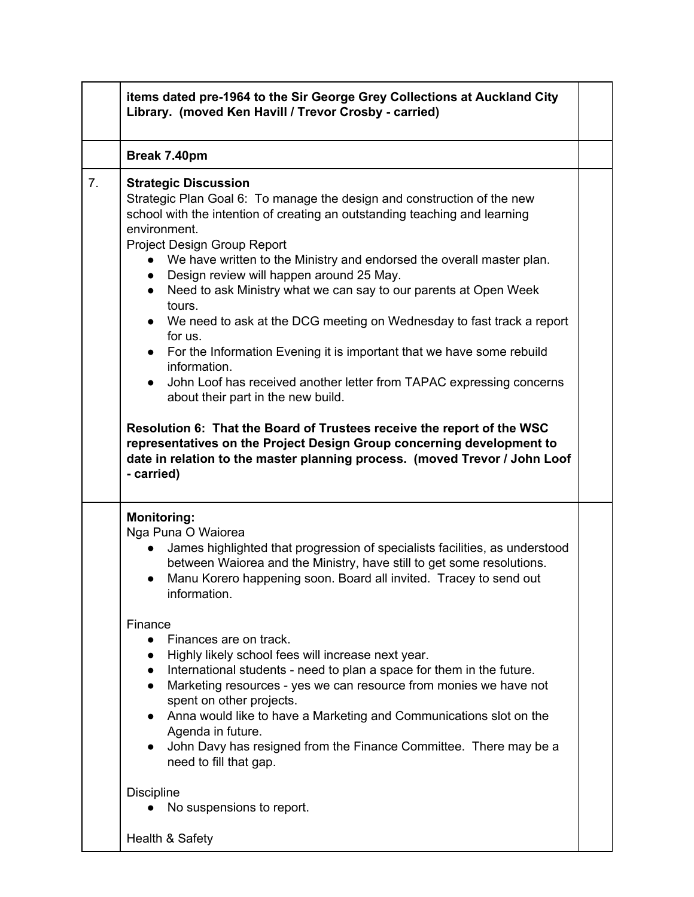|    | items dated pre-1964 to the Sir George Grey Collections at Auckland City<br>Library. (moved Ken Havill / Trevor Crosby - carried)                                                                                                                                                                                                                                                                                                                                                                                                                                                                                                                                                                                                                                                                                                                                                                                                                                                                                       |  |
|----|-------------------------------------------------------------------------------------------------------------------------------------------------------------------------------------------------------------------------------------------------------------------------------------------------------------------------------------------------------------------------------------------------------------------------------------------------------------------------------------------------------------------------------------------------------------------------------------------------------------------------------------------------------------------------------------------------------------------------------------------------------------------------------------------------------------------------------------------------------------------------------------------------------------------------------------------------------------------------------------------------------------------------|--|
|    | Break 7.40pm                                                                                                                                                                                                                                                                                                                                                                                                                                                                                                                                                                                                                                                                                                                                                                                                                                                                                                                                                                                                            |  |
| 7. | <b>Strategic Discussion</b><br>Strategic Plan Goal 6: To manage the design and construction of the new<br>school with the intention of creating an outstanding teaching and learning<br>environment.<br>Project Design Group Report<br>We have written to the Ministry and endorsed the overall master plan.<br>Design review will happen around 25 May.<br>$\bullet$<br>Need to ask Ministry what we can say to our parents at Open Week<br>$\bullet$<br>tours.<br>We need to ask at the DCG meeting on Wednesday to fast track a report<br>for us.<br>For the Information Evening it is important that we have some rebuild<br>$\bullet$<br>information.<br>John Loof has received another letter from TAPAC expressing concerns<br>about their part in the new build.<br>Resolution 6: That the Board of Trustees receive the report of the WSC<br>representatives on the Project Design Group concerning development to<br>date in relation to the master planning process. (moved Trevor / John Loof<br>- carried) |  |
|    | <b>Monitoring:</b><br>Nga Puna O Waiorea<br>James highlighted that progression of specialists facilities, as understood<br>$\bullet$<br>between Waiorea and the Ministry, have still to get some resolutions.<br>Manu Korero happening soon. Board all invited. Tracey to send out<br>information.                                                                                                                                                                                                                                                                                                                                                                                                                                                                                                                                                                                                                                                                                                                      |  |
|    | Finance<br>Finances are on track.<br>$\bullet$<br>Highly likely school fees will increase next year.<br>$\bullet$<br>International students - need to plan a space for them in the future.<br>$\bullet$<br>Marketing resources - yes we can resource from monies we have not<br>$\bullet$<br>spent on other projects.<br>Anna would like to have a Marketing and Communications slot on the<br>Agenda in future.<br>John Davy has resigned from the Finance Committee. There may be a<br>$\bullet$<br>need to fill that gap.                                                                                                                                                                                                                                                                                                                                                                                                                                                                                            |  |
|    | <b>Discipline</b><br>No suspensions to report.                                                                                                                                                                                                                                                                                                                                                                                                                                                                                                                                                                                                                                                                                                                                                                                                                                                                                                                                                                          |  |
|    | Health & Safety                                                                                                                                                                                                                                                                                                                                                                                                                                                                                                                                                                                                                                                                                                                                                                                                                                                                                                                                                                                                         |  |